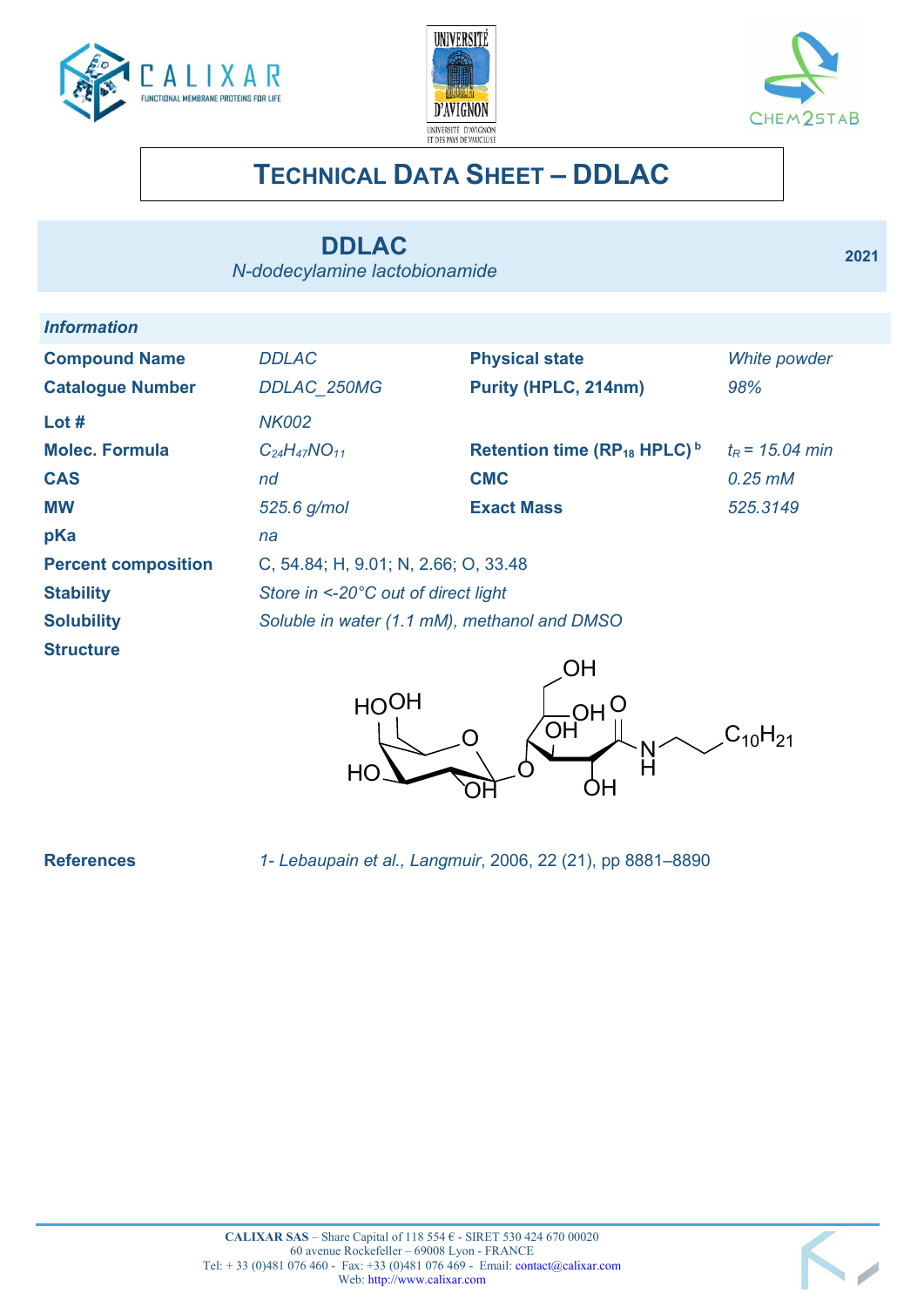





**2021**

# **TECHNICAL DATA SHEET – DDLAC**

# **DDLAC**

*N-dodecylamine lactobionamide*

| <i><b>Information</b></i>  |                                                     |                                                     |                         |
|----------------------------|-----------------------------------------------------|-----------------------------------------------------|-------------------------|
| <b>Compound Name</b>       | <b>DDLAC</b>                                        | <b>Physical state</b>                               | White powder            |
| <b>Catalogue Number</b>    | <b>DDLAC 250MG</b>                                  | Purity (HPLC, 214nm)                                | 98%                     |
| Lot $#$                    | <b>NK002</b>                                        |                                                     |                         |
| <b>Molec, Formula</b>      | $C_{24}H_{47}NO_{11}$                               | Retention time (RP <sub>18</sub> HPLC) <sup>b</sup> | $t_{\rm R}$ = 15.04 min |
| <b>CAS</b>                 | nd                                                  | <b>CMC</b>                                          | $0.25$ $m$ $M$          |
| <b>MW</b>                  | 525.6 g/mol                                         | <b>Exact Mass</b>                                   | 525.3149                |
| pKa                        | na                                                  |                                                     |                         |
| <b>Percent composition</b> | C, 54.84; H, 9.01; N, 2.66; O, 33.48                |                                                     |                         |
| <b>Stability</b>           | Store in $\leq$ -20 $\degree$ C out of direct light |                                                     |                         |
| <b>Solubility</b>          | Soluble in water (1.1 mM), methanol and DMSO        |                                                     |                         |
| <b>Structure</b>           |                                                     | ∩µ                                                  |                         |



**References** *1- Lebaupain et al., Langmuir*, 2006, 22 (21), pp 8881–8890